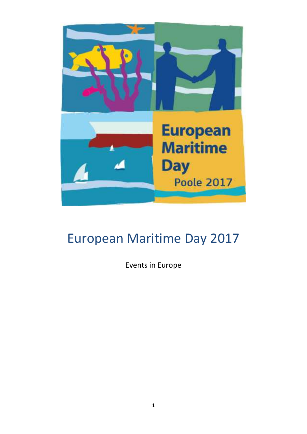

# European Maritime Day 2017

Events in Europe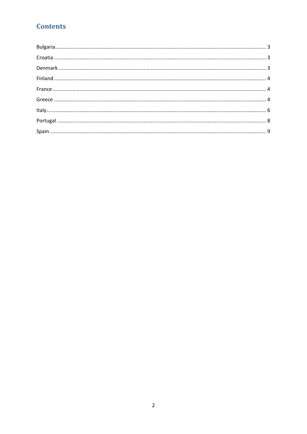## **Contents**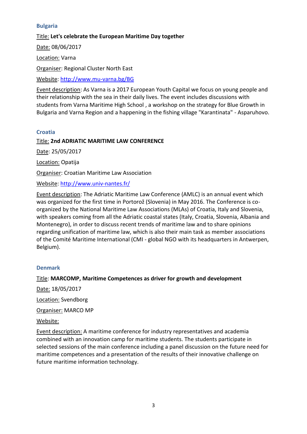#### <span id="page-2-0"></span>**Bulgaria**

Title: **Let's celebrate the European Maritime Day together** Date: 08/06/2017 Location: Varna Organiser: Regional Cluster North East Website:<http://www.mu-varna.bg/BG>

Event description: As Varna is a 2017 European Youth Capital we focus on young people and their relationship with the sea in their daily lives. The event includes discussions with students from Varna Maritime High School , a workshop on the strategy for Blue Growth in Bulgaria and Varna Region and a happening in the fishing village "Karantinata" - Asparuhovo.

#### <span id="page-2-1"></span>**Croatia**

## Title: **2nd ADRIATIC MARITIME LAW CONFERENCE**

Date: 25/05/2017

Location: Opatija

Organiser: Croatian Maritime Law Association

Website:<http://www.univ-nantes.fr/>

Event description: The Adriatic Maritime Law Conference (AMLC) is an annual event which was organized for the first time in Portorož (Slovenia) in May 2016. The Conference is coorganized by the National Maritime Law Associations (MLAs) of Croatia, Italy and Slovenia, with speakers coming from all the Adriatic coastal states (Italy, Croatia, Slovenia, Albania and Montenegro), in order to discuss recent trends of maritime law and to share opinions regarding unification of maritime law, which is also their main task as member associations of the Comité Maritime International (CMI - global NGO with its headquarters in Antwerpen, Belgium).

## <span id="page-2-2"></span>**Denmark**

## Title: **MARCOMP, Maritime Competences as driver for growth and development**

Date: 18/05/2017

Location: Svendborg

Organiser: MARCO MP

Website:

Event description: A maritime conference for industry representatives and academia combined with an innovation camp for maritime students. The students participate in selected sessions of the main conference including a panel discussion on the future need for maritime competences and a presentation of the results of their innovative challenge on future maritime information technology.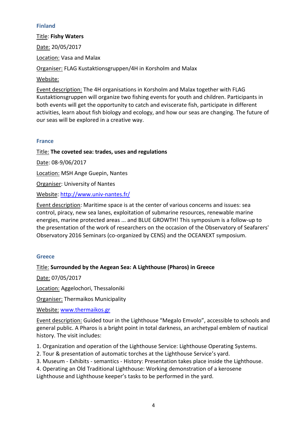#### <span id="page-3-0"></span>**Finland**

Title: **Fishy Waters** Date: 20/05/2017 Location: Vasa and Malax Organiser: FLAG Kustaktionsgruppen/4H in Korsholm and Malax Website:

Event description: The 4H organisations in Korsholm and Malax together with FLAG Kustaktionsgruppen will organize two fishing events for youth and children. Participants in both events will get the opportunity to catch and eviscerate fish, participate in different activities, learn about fish biology and ecology, and how our seas are changing. The future of our seas will be explored in a creative way.

#### <span id="page-3-1"></span>**France**

Title: **The coveted sea: trades, uses and regulations**

Date: 08-9/06/2017

Location: MSH Ange Guepin, Nantes

Organiser: University of Nantes

Website:<http://www.univ-nantes.fr/>

Event description: Maritime space is at the center of various concerns and issues: sea control, piracy, new sea lanes, exploitation of submarine resources, renewable marine energies, marine protected areas ... and BLUE GROWTH! This symposium is a follow-up to the presentation of the work of researchers on the occasion of the Observatory of Seafarers' Observatory 2016 Seminars (co-organized by CENS) and the OCEANEXT symposium.

#### <span id="page-3-2"></span>**Greece**

## Title: **Surrounded by the Aegean Sea: A Lighthouse (Pharos) in Greece**

Date: 07/05/2017

Location: Aggelochori, Thessaloniki

Organiser: Τhermaikos Municipality

Website: [www.thermaikos.gr](http://www.thermaikos.gr/)

Event description: Guided tour in the Lighthouse "Megalo Emvolo", accessible to schools and general public. A Pharos is a bright point in total darkness, an archetypal emblem of nautical history. The visit includes:

1. Organization and operation of the Lighthouse Service: Lighthouse Operating Systems.

- 2. Tour & presentation of automatic torches at the Lighthouse Service's yard.
- 3. Museum Exhibits semantics History: Presentation takes place inside the Lighthouse.
- 4. Operating an Old Traditional Lighthouse: Working demonstration of a kerosene Lighthouse and Lighthouse keeper's tasks to be performed in the yard.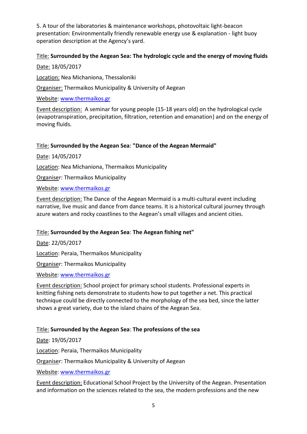5. A tour of the laboratories & maintenance workshops, photovoltaic light-beacon presentation: Environmentally friendly renewable energy use & explanation - light buoy operation description at the Agency's yard.

## Title: **Surrounded by the Aegean Sea: The hydrologic cycle and the energy of moving fluids**

Date: 18/05/2017 Location: Nea Michaniona, Thessaloniki Organiser: Thermaikos Municipality & University of Aegean Website: [www.thermaikos.gr](http://www.thermaikos.gr/) Event description: A seminar for young people (15-18 years old) on the hydrological cycle (evapotranspiration, precipitation, filtration, retention and emanation) and on the energy of

#### Title: **Surrounded by the Aegean Sea**: **"Dance of the Aegean Mermaid"**

Date: 14/05/2017

moving fluids.

Location: Nea Michaniona, Thermaikos Municipality

Organiser: Thermaikos Municipality

#### Website: [www.thermaikos.gr](http://www.thermaikos.gr/)

Event description: The Dance of the Aegean Mermaid is a multi-cultural event including narrative, live music and dance from dance teams. It is a historical cultural journey through azure waters and rocky coastlines to the Aegean's small villages and ancient cities.

#### Title: **Surrounded by the Aegean Sea**: **The Aegean fishing net"**

Date: 22/05/2017

Location: Peraia, Thermaikos Municipality

Organiser: Thermaikos Municipality

Website: [www.thermaikos.gr](http://www.thermaikos.gr/)

Event description: School project for primary school students. Professional experts in knitting fishing nets demonstrate to students how to put together a net. This practical technique could be directly connected to the morphology of the sea bed, since the latter shows a great variety, due to the island chains of the Aegean Sea.

#### Title: **Surrounded by the Aegean Sea**: **The professions of the sea**

Date: 19/05/2017

Location: Peraia, Thermaikos Municipality

Organiser: Thermaikos Municipality & University of Aegean

Website: [www.thermaikos.gr](http://www.thermaikos.gr/)

Event description: Educational School Project by the University of the Aegean. Presentation and information on the sciences related to the sea, the modern professions and the new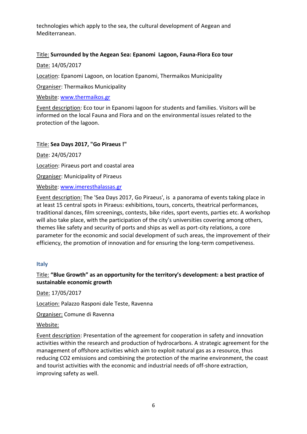technologies which apply to the sea, the cultural development of Aegean and Mediterranean.

## Title: **Surrounded by the Aegean Sea: Epanomi Lagoon, Fauna-Flora Eco tour**

Date: 14/05/2017

Location: Epanomi Lagoon, on location Epanomi, Thermaikos Municipality

Organiser: Thermaikos Municipality

Website: [www.thermaikos.gr](http://www.thermaikos.gr/)

Event description: Eco tour in Epanomi lagoon for students and families. Visitors will be informed on the local Fauna and Flora and on the environmental issues related to the protection of the lagoon.

## Title: **Sea Days 2017, "Go Piraeus !"**

Date: 24/05/2017

Location: Piraeus port and coastal area

Organiser: Municipality of Piraeus

Website: [www.imeresthalassas.gr](http://www.imeresthalassas.gr/)

Event description: The 'Sea Days 2017, Go Piraeus', is a panorama of events taking place in at least 15 central spots in Piraeus: exhibitions, tours, concerts, theatrical performances, traditional dances, film screenings, contests, bike rides, sport events, parties etc. A workshop will also take place, with the participation of the city's universities covering among others, themes like safety and security of ports and ships as well as port-city relations, a core parameter for the economic and social development of such areas, the improvement of their efficiency, the promotion of innovation and for ensuring the long-term competiveness.

## <span id="page-5-0"></span>**Italy**

## Title: **"Blue Growth" as an opportunity for the territory's development: a best practice of sustainable economic growth**

Date: 17/05/2017

Location: Palazzo Rasponi dale Teste, Ravenna

Organiser: Comune di Ravenna

## Website:

Event description: Presentation of the agreement for cooperation in safety and innovation activities within the research and production of hydrocarbons. A strategic agreement for the management of offshore activities which aim to exploit natural gas as a resource, thus reducing CO2 emissions and combining the protection of the marine environment, the coast and tourist activities with the economic and industrial needs of off-shore extraction, improving safety as well.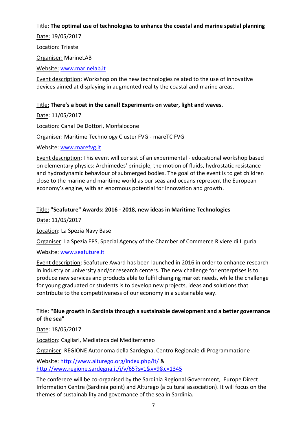## Title: **The optimal use of technologies to enhance the coastal and marine spatial planning**

Date: 19/05/2017 Location: Trieste Organiser: MarineLAB Website: [www.marinelab.it](http://www.marinelab.it/)

Event description: Workshop on the new technologies related to the use of innovative devices aimed at displaying in augmented reality the coastal and marine areas.

## Title**: There's a boat in the canal! Experiments on water, light and waves.**

Date: 11/05/2017 Location: Canal De Dottori, Monfalocone Organiser: Maritime Technology Cluster FVG - mareTC FVG Website: [www.marefvg.it](http://www.marefvg.it/)

Event description: This event will consist of an experimental - educational workshop based on elementary physics: Archimedes' principle, the motion of fluids, hydrostatic resistance and hydrodynamic behaviour of submerged bodies. The goal of the event is to get children close to the marine and maritime world as our seas and oceans represent the European economy's engine, with an enormous potential for innovation and growth.

## Title: **"Seafuture" Awards: 2016 - 2018, new ideas in Maritime Technologies**

Date: 11/05/2017

Location: La Spezia Navy Base

Organiser: La Spezia EPS, Special Agency of the Chamber of Commerce Riviere di Liguria

## Website: [www.seafuture.it](http://www.seafuture.it/)

Event description: Seafuture Award has been launched in 2016 in order to enhance research in industry or university and/or research centers. The new challenge for enterprises is to produce new services and products able to fulfil changing market needs, while the challenge for young graduated or students is to develop new projects, ideas and solutions that contribute to the competitiveness of our economy in a sustainable way.

## Title: **"Blue growth in Sardinia through a sustainable development and a better governance of the sea"**

Date: 18/05/2017

Location: Cagliari, Mediateca del Mediterraneo

Organiser: REGIONE Autonoma della Sardegna, Centro Regionale di Programmazione

Website:<http://www.alturego.org/index.php/it/> & <http://www.regione.sardegna.it/j/v/65?s=1&v=9&c=1345>

The conferece will be co-organised by the Sardinia Regional Government, Europe Direct Information Centre (Sardinia point) and Alturego (a cultural association). It will focus on the themes of sustainability and governance of the sea in Sardinia.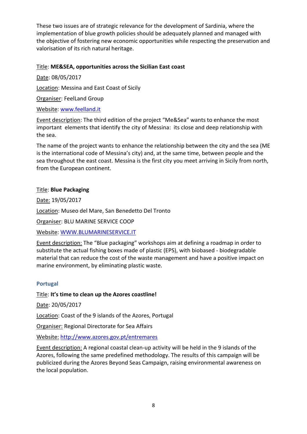These two issues are of strategic relevance for the development of Sardinia, where the implementation of blue growth policies should be adequately planned and managed with the objective of fostering new economic opportunities while respecting the preservation and valorisation of its rich natural heritage.

## Title: **ME&SEA, opportunities across the Sicilian East coast**

Date: 08/05/2017 Location: Messina and East Coast of Sicily Organiser: FeelLand Group Website: [www.feelland.it](http://www.feelland.it/) Event description: The third edition of the project "Me&Sea" wants to enhance the most

important elements that identify the city of Messina: its close and deep relationship with the sea.

The name of the project wants to enhance the relationship between the city and the sea (ME is the international code of Messina's city) and, at the same time, between people and the sea throughout the east coast. Messina is the first city you meet arriving in Sicily from north, from the European continent.

## Title: **Blue Packaging**

Date: 19/05/2017

Location: Museo del Mare, San Benedetto Del Tronto

Organiser: BLU MARINE SERVICE COOP

Website: [WWW.BLUMARINESERVICE.IT](http://www.blumarineservice.it/)

Event description: The "Blue packaging" workshops aim at defining a roadmap in order to substitute the actual fishing boxes made of plastic (EPS), with biobased - biodegradable material that can reduce the cost of the waste management and have a positive impact on marine environment, by eliminating plastic waste.

## <span id="page-7-0"></span>**Portugal**

Title: **It's time to clean up the Azores coastline!**

Date: 20/05/2017

Location: Coast of the 9 islands of the Azores, Portugal

Organiser: Regional Directorate for Sea Affairs

Website: <http://www.azores.gov.pt/entremares>

Event description: A regional coastal clean-up activity will be held in the 9 islands of the Azores, following the same predefined methodology. The results of this campaign will be publicized during the Azores Beyond Seas Campaign, raising environmental awareness on the local population.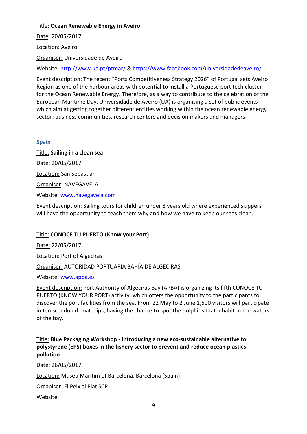Title: **Ocean Renewable Energy in Aveiro**

Date: 20/05/2017

Location: Aveiro

Organiser: Universidade de Aveiro

Website: <http://www.ua.pt/ptmar/> &<https://www.facebook.com/universidadedeaveiro/>

Event description: The recent "Ports Competitiveness Strategy 2026" of Portugal sets Aveiro Region as one of the harbour areas with potential to install a Portuguese port tech cluster for the Ocean Renewable Energy. Therefore, as a way to contribute to the celebration of the European Maritime Day, Universidade de Aveiro (UA) is organising a set of public events which aim at getting together different entities working within the ocean renewable energy sector: business communities, research centers and decision makers and managers.

## <span id="page-8-0"></span>**Spain**

Title: **Sailing in a clean sea** Date: 20/05/2017 Location: San Sebastian Organiser: NAVEGAVELA Website: [www.navegavela.com](http://www.navegavela.com/)

Event description: Sailing tours for children under 8 years old where experienced skippers will have the opportunity to teach them why and how we have to keep our seas clean.

## Title: **CONOCE TU PUERTO (Know your Port)**

Date: 22/05/2017

Location: Port of Algeciras

Organiser: AUTORIDAD PORTUARIA BAHÍA DE ALGECIRAS

Website: [www.apba.es](http://www.apba.es/)

Event description: Port Authority of Algeciras Bay (APBA) is organizing its fifth CONOCE TU PUERTO (KNOW YOUR PORT) activity, which offers the opportunity to the participants to discover the port facilities from the sea. From 22 May to 2 June 1,500 visitors will participate in ten scheduled boat trips, having the chance to spot the dolphins that inhabit in the waters of the bay.

Title: **Blue Packaging Workshop - Introducing a new eco-sustainable alternative to polystyrene (EPS) boxes in the fishery sector to prevent and reduce ocean plastics pollution**

Date: 26/05/2017 Location: Museu Marítim of Barcelona, Barcelona (Spain) Organiser: El Peix al Plat SCP Website: